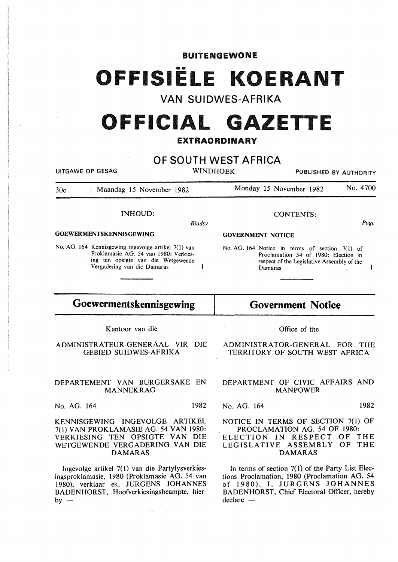# OFFISIËLE KOERANT

BUITENGEWONE

# **VAN SUIDWES-AFRIKA**

# **OFFICIAL G z TTE**  EXTRAORDINARY

# **OF SOUTH WEST AFRICA**

UITGAWE OP GESAG WINDHOEK PUBLISHED BY AUTHORITY

30c Maandag 15 November 1982 Monday 15 November 1982 No. 4700

# INHOUD:

*Bladsy* 

### GOEWERMENTSKENNISGEWING

No. AG. 164 Kennisgewing ingevolge artikel 7(1) van Proklamasie AG. 54 van 1980: Verkiesing ten opsigte van die Wetgewende Vergadering van die Damaras  $\mathbf{1}$ 

# **Goewermentskennisgewing**

Kantoor van die

ADMINISTRATEUR-GENERAAL VIR DIE GEBIED SUIDWES-AFRIKA

### DEPARTEMENT VAN BURGERSAKE EN MANNEKRAG

No. AG. 164 1982

KENNISGEWING INGEVOLGE ARTIKEL 7( I) VAN PROKLAMASIE AG. 54 VAN 1980: VERKIESING TEN OPSIGTE VAN DIE WETGEWENDE VERGADERING VAN DIE **DAMARAS** 

Ingevolge artikel 7(1) van die Partylysverkiesingsproklamasie, 1980 (Proklamasie AG. 54 van 1980), verklaar ek, JURGENS JOHANNES BADENHORST, Hoofverkiesingsbeampte, hier $by -$ 

### CONTENTS:.

GOVERNMENT NOTICE

No. AG. 164 Notice in terms of section 7(1) of Proclamation 54 of 1980: Election in respect of the Legislative Assembly of the Damaras

# **Government Notice**

ADMINISTRATOR-GENERAL FOR THE TERRITORY OF SOUTH WEST AFRICA

Office of the

### DEPARTMENT OF CIVIC AFFAIRS AND MANPOWER

No. AG. 164 1982

### NOTICE IN TERMS OF SECTION 7(1) OF PROCLAMATION AG. 54 OF 1980: ELECTION IN RESPECT OF THE LEGISLATIVE ASSEMBLY OF THE DAMARAS

In terms of section  $7(1)$  of the Party List Elections Proclamation, 1980 (Proclamation AG. 54 of 1980), I, JURGENS JOHANNES BADENHORST, Chief Electoral Officer, hereby  $dec$ are  $-$ 

*Page* 

 $\mathbf{1}$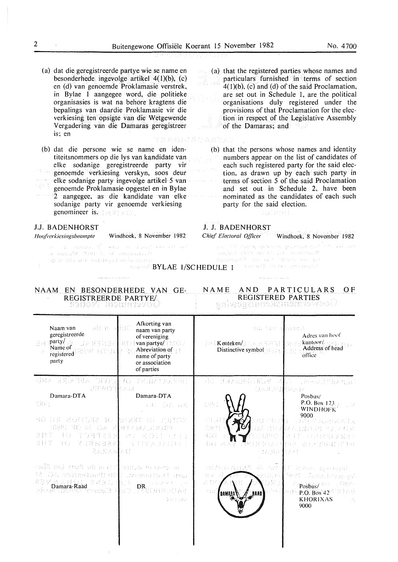- (a) dat die geregistreerde partye wie se name en besonderhede ingevolge artikel 4(l)(b), (c) en (d) van genoemde Proklamasie verstrek, in Bylae I aangegee word, die politieke organisasies is wat na behore kragtens die bepalings van daardie Proklamasie vir die verkiesing ten opsigte van die Wetgewende Vergadering van die Damaras geregistreer is; en 医双角动脉膜炎 医皮下麻痹
- (b) dat die persone wie se name en identiteitsnommers op die lys van kandidate van elke sodanige geregistreerde party vir genoemde verkiesing verskyn, soos deur mida elke sodanige party ingevolge artikel 5 van nys i genoemde Proklamasie opgestel en in Bylae 2 aangegee, as die kandidate van elke sodanige party vir genoemde verkiesing genomineer is. The 41  $\times$  01.

# J.J. BADENHORST

*Hoq/i'erkiesingsbeampte* Windhoek, 8 November 1982

 $\mathcal{A} \mathcal{L} \mathcal{A} \mathcal{L} \mathcal{J} \mathcal{F} = \mathcal{H} \mathcal{L} \mathcal{L} \mathcal{L} \mathcal{L} \mathcal{L} \mathcal{L} \mathcal{F} + \mathcal{L} \mathcal{L} \mathcal{L} \mathcal{L} \mathcal{L} \mathcal{F} \mathcal{F} + \mathcal{L} \mathcal{L} \mathcal{L} \mathcal{L} \mathcal{L} \mathcal{F} \mathcal{F}$ -1 1 C m annother foot to be administered an je ndu se r o utdagod sa bu doben

particulars furnished in terms of section an Š.  $4(1)(b)$ , (c) and (d) of the said Proclamation, are set out in Schedule I, are the political organisations duly registered under the provisions of that Proclamation for the election in respect of the Legislative Assembly of the Damaras; and

(a) that the registered parties whose names and

(b) that the persons whose names and identity numbers appear on the list of candidates of each such registered party for the said election, as drawn up by each such party in terms of section 5 of the said Proclamation and set out in Schedule 2, have been nominated as the candidates of each such party for the said election.

# Guornet

### J. J. BADENHORST

*Chief Electoral Officer* Windhoek, 8 November 1982

martin, aseroman governancies".  $(1/2)^{1/2}$  ,  $(1/2)^{1/2}$ water Court and C. L.A. Supering A

statesmonth officials in the fact that spit

**BYLAE 1/SCHEDULE 1** Thursday in the Conduction

# NAAM EN BESONDERHEDE VAN GE-REGISTREERDE PARTYE/

# NAME AND PARTICULARS OF REGISTERED PARTIES

| ali ko alilib<br>Naam van<br>geregistreerde<br>$\frac{1}{2}$ party/ $\frac{1}{2}$<br>1% 经活动经<br>Name of<br>registered SEW RTDL<br>party                                      | Afkorting van<br>naam van party<br>of vereniging<br><b>AO wan partye/ ( ) / C /</b><br>$\Rightarrow$ Abreviation of<br>name of party<br>or association<br>of parties | Sto Any Mepmod<br><b>BUI Kenteken/BAVA, MRIA NELL SECE</b><br>Distinctive symbol and the state                | Adres van hoof<br>kantoor/ $\overline{\phantom{a}}$ Address of head<br>office                                                                      |
|------------------------------------------------------------------------------------------------------------------------------------------------------------------------------|----------------------------------------------------------------------------------------------------------------------------------------------------------------------|---------------------------------------------------------------------------------------------------------------|----------------------------------------------------------------------------------------------------------------------------------------------------|
| 《其有人》3月24日号云 (月以前)<br><b>BEROTHAIR</b>                                                                                                                                       | 母心 三卵合質Z生黄素を用い                                                                                                                                                       | <b>、「清除」をUR (のERanded 光下)</b><br>很笨某罪! 性培养权                                                                   | <b>可以开展通信指入内服师</b>                                                                                                                                 |
| Damara-DTA                                                                                                                                                                   | Damara-DTA                                                                                                                                                           |                                                                                                               | Posbus/                                                                                                                                            |
| 机锅锅 3                                                                                                                                                                        | 4月 医表面坏                                                                                                                                                              | $\sum_{i=1}^n \left\{ \begin{matrix} \hat{p}_i^{\alpha} \\ \hat{p}_i^{\alpha} \end{matrix} \right\}_{i=1}^n$  | P.O. Box $173$<br><b>WINDHOFK</b>                                                                                                                  |
| RO SA RONDER AL IMEN EL PUNCE<br>SONO MO AL CA MINTAIMA HIASAM<br>93 F 37<br>-9-30k<br>今日任之子 別<br>경풍기<br>73 K.G<br>2人名西拉本顿                                                   | 그렇게 그려 유가 제가 없어요.<br>【《白牙》 医学科学 医单位性皮质 医骨骨炎                                                                                                                          | 78 W<br>まむせきご<br>:GB21<br>55 ISB<br>香风 三烯<br>- 北宮八里の母                                                         | 9000<br><b>OMENTAL/SEARCHER</b><br>OA 尼罗希瑟人的复数增加不去关注式<br>- 조금에 드리스탄 X<br>- <sup>19</sup> 30年12月11日1月11日 1月11日 1月11日                                |
| -pail $m_{\rm A}$ years of in (1)] source to sprop mi<br>tot Fieldsman(18) (Fooderman(2) 54<br>REMANGERAND (DE BRUGA)<br>Ramara-Raad<br>Ramara-Raad Romeolis Rino (RISINGIA) | 9471592                                                                                                                                                              | etimosių m8 diospr<br>$\{ \frac{1}{2}, \frac{1}{2}, \frac{1}{2} \}$<br>milácei<br>군 경대<br>ToH<br>3 TS 14 Post | (Wikato <sub>dhe</sub> ogad)<br>Pett sammiting ya<br>Posbus/<br>Zep§ri i<br>P.O. Box $42^\circ$<br><b>KHORIXAS</b><br>$\sim \mathcal{P}_T$<br>9000 |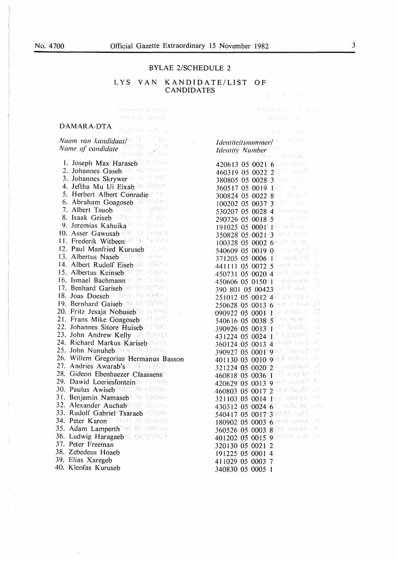$\pm$ 

 $\frac{1}{3}$ 

 $\ddot{\phantom{1}}$ 

# BYLAE 2/SCHEDULE 2

### LYS VAN KANDIDATE/LIST OF CANDIDATES Concert English

 $\mathcal{L}$ 

 $\left\langle \left( \phi_{\mathcal{A}}^{\mathcal{A}} \phi_{\mathcal{A}} \phi_{\mathcal{A}} \phi_{\mathcal{A}} \phi_{\mathcal{A}} \phi_{\mathcal{A}} \phi_{\mathcal{A}} \phi_{\mathcal{A}} \phi_{\mathcal{A}} \phi_{\mathcal{A}} \phi_{\mathcal{A}} \phi_{\mathcal{A}} \phi_{\mathcal{A}} \phi_{\mathcal{A}} \right\rangle \right\rangle$  $\partial \mathcal{A}^{\mathcal{G}}_{\mathcal{G}}(\mathcal{G}) \to \mathcal{G}(\mathcal{G})$ 

 $\left\langle \left\langle \left\langle f_{1}f_{2}\right\rangle \right\rangle \left\langle \left\langle f_{1}f_{2}\right\rangle \right\rangle \right\rangle \left\langle f_{1}f_{2}\right\rangle \right\rangle \left\langle \left\langle f_{2}f_{2}\right\rangle \right\rangle$ 

 $\left\langle \mathcal{N}_{\mathcal{N}}\left(\mathcal{N}_{\mathcal{N}}\right)\right\rangle \left\langle \mathcal{N}_{\mathcal{N}}\right\rangle =\left\langle \mathcal{N}_{\mathcal{N}}\left(\mathcal{N}_{\mathcal{N}}\right)\right\rangle ,$ 

## DAMARA-DTA

| Naam van kandidaat/                                                                                                                            |
|------------------------------------------------------------------------------------------------------------------------------------------------|
| Naam van kanamaan<br>Name of candidate                                                                                                         |
|                                                                                                                                                |
| 1. Joseph Max Haraseb                                                                                                                          |
| Johannes Gaseb <sup>800</sup> PU 11104<br>2.                                                                                                   |
| 3. Johannes Skrywer (1999)                                                                                                                     |
| 4. Jeftha Mu Ui Eixab 50 10800.                                                                                                                |
| 5. Herbert Albert Conradie                                                                                                                     |
| 6. Abraham Goagoseb 35 2004 Pro                                                                                                                |
| 7. Albert Tsuob 7000 20 2000 :                                                                                                                 |
| 8. Isaak Geisebl White the original                                                                                                            |
| Jeremias Kahuika <sup>n an</sup> Litter<br>9.                                                                                                  |
| 10. Asser Gawusab the and an action                                                                                                            |
| 11. Frederik Witbeen 00 20 74 000                                                                                                              |
| 12. Paul Manfried Kuruseb States                                                                                                               |
|                                                                                                                                                |
| 14. Albert Rudolf Eiseb 30 19400                                                                                                               |
|                                                                                                                                                |
|                                                                                                                                                |
| 15. Albertus Keinseb <sup>00</sup> 80 CS888 a<br>16. Ismael Bachmann <sup>(2020</sup> 80 CHP66)<br>17. Benhard Gariseb <sup>300</sup> 80 80060 |
| 18. Joas Doeseb <sup>®</sup> (10%) 20 10006                                                                                                    |
| 19. Bernhard Gaiseb 90 20 SOTORS                                                                                                               |
| 20. Fritz Jesaja Nobuseb 2011                                                                                                                  |
|                                                                                                                                                |
| 22. Johannes Sitore Huiseb <sup>2</sup>                                                                                                        |
| 23. John Andrew Kelly 20 201121                                                                                                                |
| 24. Richard Markus Kariseb                                                                                                                     |
| 25. John Nunuheb MARE 20 STS045                                                                                                                |
| 26. Willem Gregorius Hermanus Basson                                                                                                           |
| 27. Andries Awarab's 20 actions                                                                                                                |
| 28. Gideon Ebenhaezer Claassens                                                                                                                |
| 29. Dawid Loeriesfonteined 201004                                                                                                              |
| Paulus Awiséb <sup>00830</sup> PO 482084<br>30.                                                                                                |
| Benjamin Namaseb <sup>120</sup> 10804.<br>31.                                                                                                  |
| 32.<br>Alexander Auchab <sup>®</sup> 20 05.11 be                                                                                               |
| Rudolf Gabriel Tsaraeb<br>33.                                                                                                                  |
| Peter Karon V (CON) 80 080000<br>34.                                                                                                           |
| Adam Lamperth (8) and interest<br>35.                                                                                                          |
| 36. Ludwig Haragaebiro de admenta                                                                                                              |
| 37. Peter Freeman                                                                                                                              |
| 38. Zebedeus Hoaeb                                                                                                                             |
| 39. Elias Xaregeb                                                                                                                              |
| 40. Kleofas Kuruseb                                                                                                                            |

| 회사의 지수는 어떤 사람들                                                    |                                                           |
|-------------------------------------------------------------------|-----------------------------------------------------------|
| <i>Identiteitsnommer</i> /                                        |                                                           |
| Identity Number                                                   |                                                           |
| formal batas                                                      |                                                           |
| cerembo<br>420613                                                 |                                                           |
| 05 0021 6 Permanent<br>460319                                     |                                                           |
| $3^{(4,\alpha_1^2,\ldots,\alpha_k^2)}$<br>05<br>0028<br>380805    |                                                           |
| 0019 1952 中国 元<br>05<br>360517                                    | ł                                                         |
| $0022$ $8\%$ administration<br>300824<br>05                       | Ļ,                                                        |
| 0037 3 Million Patrick<br>100202<br>05                            | $\ddot{\phantom{a}}$                                      |
| versidantic<br>0028 4<br>05<br>530207                             | ł,                                                        |
| $0018$ $5$ and $3$ and $4$<br>290726<br>05                        | $\frac{1}{2}$                                             |
| $000\,\mathrm{FeV}$ and $0.00\,\mathrm{Fe}$<br>05<br>191025       | ł                                                         |
| $05^\circ 0021$ . $3$ and the linear t<br>350828                  | p.                                                        |
| $0002$ if $6$ and the second of $\overline{a}$<br>05<br>100328    | $\frac{1}{2}$                                             |
| $0019$ $0$ and as a state<br>05<br>540609                         | $\tilde{\mathcal{E}}_{\alpha}$ :                          |
| $05^{\circ}0006$ of $\frac{1}{2}$ and $\frac{1}{2}$ and<br>371205 | ti<br>V                                                   |
| 0072 58 009 Boyer<br>441111<br>05                                 | y.                                                        |
| $05\,0020\,4004$<br>450731                                        | ģ.                                                        |
| $0150$ <sup>2</sup> espainate<br>450606<br>05                     | Ó.                                                        |
| 00423 days Louis<br>390 801<br>05 <sub>1</sub>                    | $\frac{1}{2}$ . $\frac{1}{2}$                             |
| $0012$ 40 declar<br>05<br>251012                                  | Ť,                                                        |
| 0013 605000 年 2023<br>250628<br>05                                | $\frac{1}{2}$ , $\frac{1}{2}$                             |
| $0001\pm10$ distribution<br>090922<br>05                          | $\left\langle \hat{\psi} \right\rangle_{\rm L}^{\rm eff}$ |
| $0038^{\circ}5^{\circ}$ and added to<br>540616<br>05              | $\frac{1}{2}$                                             |
| 0013年18月 18月12<br>390926 05                                       | $\hat{\mathcal{E}}_{\alpha}$ ,                            |
| 0024): [Or Businessee]<br>431224<br>05                            | $\mathbb{R}^{\frac{1}{n}}$                                |
| 0013 4 295 Charlis<br>360124<br>05                                | R)                                                        |
| $0001^\circ$ 9h2 - Socială<br>05<br>390927                        | $\mathbb{R}^{2d}$                                         |
| 0010982 ods2<br>05<br>401130                                      | A <sup>.</sup>                                            |
| 002012 Leonimor<br>321224 05                                      | $\frac{1}{2}$ , $\frac{1}{2}$                             |
| $0036^\circ$ To $\odot$ and the<br>460818<br>05                   | $\frac{1}{2}$                                             |
| 00139900 <sup>62</sup> 200687<br>05<br>420629                     | j.                                                        |
| $0017$ -2 and display<br>460803<br>$05^\circ$                     | i.                                                        |
| $0014(1)$ and $(7)$<br>321103<br>05                               | ×t                                                        |
| $0024/6$ <sup>3</sup> and may.<br>05<br>430312                    | é.                                                        |
| 0017 3 sets ( ) and ( )<br>05<br>540417                           | m.                                                        |
| 000396980时 0020次<br>05<br>180902                                  | jki.                                                      |
| 0003980023 100000006<br>360526<br>05                              | ₿Ů                                                        |
| 0015 90000 apt<br>$05^\circ$<br>401202                            | g Q                                                       |
| 320130<br>0021<br>05<br>$\overline{c}$                            |                                                           |
| 191225<br>4<br>05<br>0001                                         |                                                           |
| 05<br>0003<br>411029<br>7                                         |                                                           |
| 05<br>340830<br>0005<br>I                                         |                                                           |